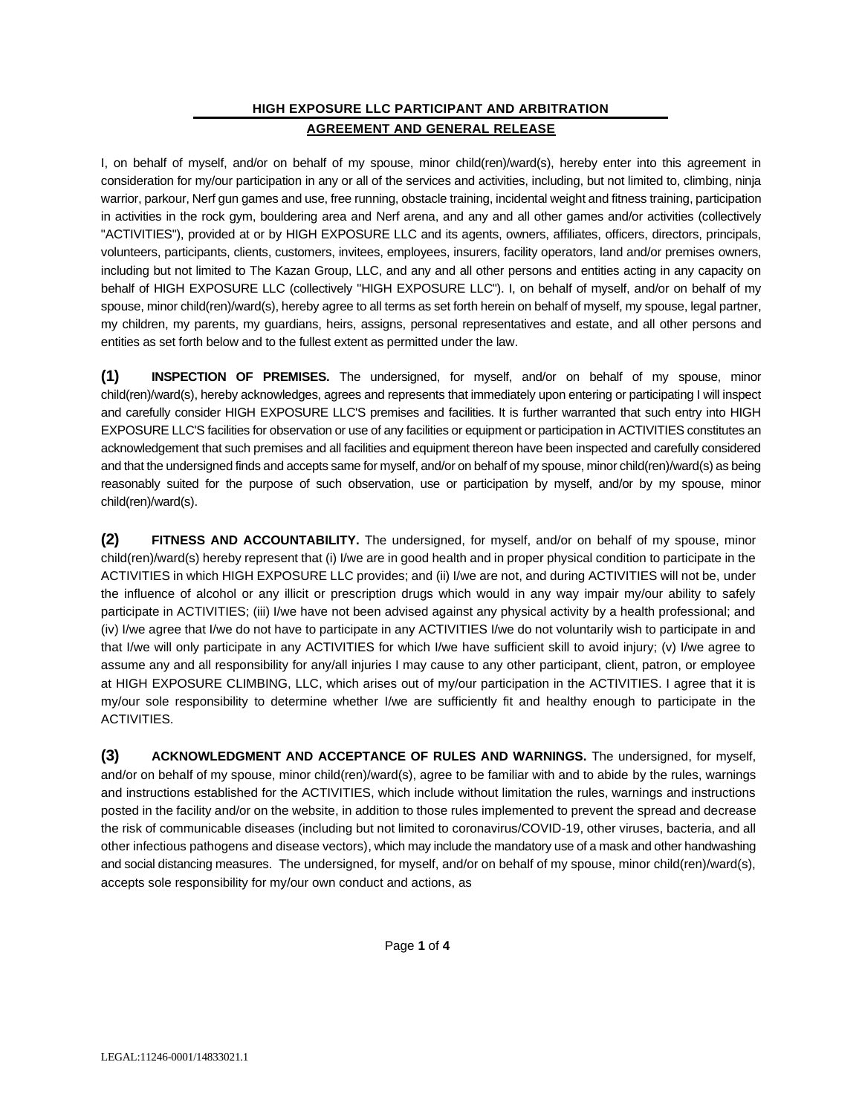## **HIGH EXPOSURE LLC PARTICIPANT AND ARBITRATION AGREEMENT AND GENERAL RELEASE**

I, on behalf of myself, and/or on behalf of my spouse, minor child(ren)/ward(s), hereby enter into this agreement in consideration for my/our participation in any or all of the services and activities, including, but not limited to, climbing, ninja warrior, parkour, Nerf gun games and use, free running, obstacle training, incidental weight and fitness training, participation in activities in the rock gym, bouldering area and Nerf arena, and any and all other games and/or activities (collectively "ACTIVITIES"), provided at or by HIGH EXPOSURE LLC and its agents, owners, affiliates, officers, directors, principals, volunteers, participants, clients, customers, invitees, employees, insurers, facility operators, land and/or premises owners, including but not limited to The Kazan Group, LLC, and any and all other persons and entities acting in any capacity on behalf of HIGH EXPOSURE LLC (collectively "HIGH EXPOSURE LLC"). I, on behalf of myself, and/or on behalf of my spouse, minor child(ren)/ward(s), hereby agree to all terms as set forth herein on behalf of myself, my spouse, legal partner, my children, my parents, my guardians, heirs, assigns, personal representatives and estate, and all other persons and entities as set forth below and to the fullest extent as permitted under the law.

**(1) INSPECTION OF PREMISES.** The undersigned, for myself, and/or on behalf of my spouse, minor child(ren)/ward(s), hereby acknowledges, agrees and represents that immediately upon entering or participating I will inspect and carefully consider HIGH EXPOSURE LLC'S premises and facilities. It is further warranted that such entry into HIGH EXPOSURE LLC'S facilities for observation or use of any facilities or equipment or participation in ACTIVITIES constitutes an acknowledgement that such premises and all facilities and equipment thereon have been inspected and carefully considered and that the undersigned finds and accepts same for myself, and/or on behalf of my spouse, minor child(ren)/ward(s) as being reasonably suited for the purpose of such observation, use or participation by myself, and/or by my spouse, minor child(ren)/ward(s).

**(2) FITNESS AND ACCOUNTABILITY.** The undersigned, for myself, and/or on behalf of my spouse, minor child(ren)/ward(s) hereby represent that (i) I/we are in good health and in proper physical condition to participate in the ACTIVITIES in which HIGH EXPOSURE LLC provides; and (ii) I/we are not, and during ACTIVITIES will not be, under the influence of alcohol or any illicit or prescription drugs which would in any way impair my/our ability to safely participate in ACTIVITIES; (iii) I/we have not been advised against any physical activity by a health professional; and (iv) I/we agree that I/we do not have to participate in any ACTIVITIES I/we do not voluntarily wish to participate in and that I/we will only participate in any ACTIVITIES for which I/we have sufficient skill to avoid injury; (v) I/we agree to assume any and all responsibility for any/all injuries I may cause to any other participant, client, patron, or employee at HIGH EXPOSURE CLIMBING, LLC, which arises out of my/our participation in the ACTIVITIES. I agree that it is my/our sole responsibility to determine whether I/we are sufficiently fit and healthy enough to participate in the ACTIVITIES.

**(3) ACKNOWLEDGMENT AND ACCEPTANCE OF RULES AND WARNINGS.** The undersigned, for myself, and/or on behalf of my spouse, minor child(ren)/ward(s), agree to be familiar with and to abide by the rules, warnings and instructions established for the ACTIVITIES, which include without limitation the rules, warnings and instructions posted in the facility and/or on the website, in addition to those rules implemented to prevent the spread and decrease the risk of communicable diseases (including but not limited to coronavirus/COVID-19, other viruses, bacteria, and all other infectious pathogens and disease vectors), which may include the mandatory use of a mask and other handwashing and social distancing measures. The undersigned, for myself, and/or on behalf of my spouse, minor child(ren)/ward(s), accepts sole responsibility for my/our own conduct and actions, as

Page **1** of **4**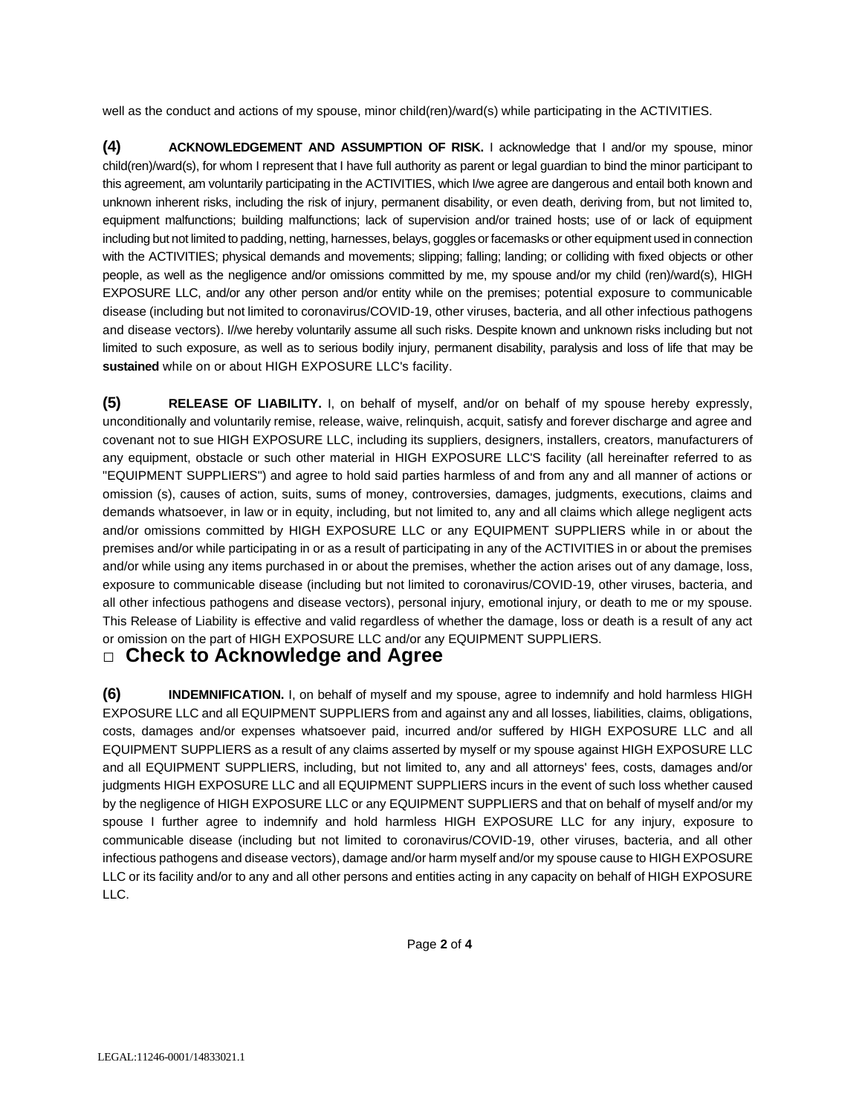well as the conduct and actions of my spouse, minor child(ren)/ward(s) while participating in the ACTIVITIES.

**(4) ACKNOWLEDGEMENT AND ASSUMPTION OF RISK.** I acknowledge that I and/or my spouse, minor child(ren)/ward(s), for whom I represent that I have full authority as parent or legal guardian to bind the minor participant to this agreement, am voluntarily participating in the ACTIVITIES, which I/we agree are dangerous and entail both known and unknown inherent risks, including the risk of injury, permanent disability, or even death, deriving from, but not limited to, equipment malfunctions; building malfunctions; lack of supervision and/or trained hosts; use of or lack of equipment including but not limited to padding, netting, harnesses, belays, goggles or facemasks or other equipment used in connection with the ACTIVITIES; physical demands and movements; slipping; falling; landing; or colliding with fixed objects or other people, as well as the negligence and/or omissions committed by me, my spouse and/or my child (ren)/ward(s), HIGH EXPOSURE LLC, and/or any other person and/or entity while on the premises; potential exposure to communicable disease (including but not limited to coronavirus/COVID-19, other viruses, bacteria, and all other infectious pathogens and disease vectors). I//we hereby voluntarily assume all such risks. Despite known and unknown risks including but not limited to such exposure, as well as to serious bodily injury, permanent disability, paralysis and loss of life that may be **sustained** while on or about HIGH EXPOSURE LLC's facility.

**(5) RELEASE OF LIABILITY.** I, on behalf of myself, and/or on behalf of my spouse hereby expressly, unconditionally and voluntarily remise, release, waive, relinquish, acquit, satisfy and forever discharge and agree and covenant not to sue HIGH EXPOSURE LLC, including its suppliers, designers, installers, creators, manufacturers of any equipment, obstacle or such other material in HIGH EXPOSURE LLC'S facility (all hereinafter referred to as "EQUIPMENT SUPPLIERS") and agree to hold said parties harmless of and from any and all manner of actions or omission (s), causes of action, suits, sums of money, controversies, damages, judgments, executions, claims and demands whatsoever, in law or in equity, including, but not limited to, any and all claims which allege negligent acts and/or omissions committed by HIGH EXPOSURE LLC or any EQUIPMENT SUPPLIERS while in or about the premises and/or while participating in or as a result of participating in any of the ACTIVITIES in or about the premises and/or while using any items purchased in or about the premises, whether the action arises out of any damage, loss, exposure to communicable disease (including but not limited to coronavirus/COVID-19, other viruses, bacteria, and all other infectious pathogens and disease vectors), personal injury, emotional injury, or death to me or my spouse. This Release of Liability is effective and valid regardless of whether the damage, loss or death is a result of any act or omission on the part of HIGH EXPOSURE LLC and/or any EQUIPMENT SUPPLIERS.

## **□ Check to Acknowledge and Agree**

**(6) INDEMNIFICATION.** I, on behalf of myself and my spouse, agree to indemnify and hold harmless HIGH EXPOSURE LLC and all EQUIPMENT SUPPLIERS from and against any and all losses, liabilities, claims, obligations, costs, damages and/or expenses whatsoever paid, incurred and/or suffered by HIGH EXPOSURE LLC and all EQUIPMENT SUPPLIERS as a result of any claims asserted by myself or my spouse against HIGH EXPOSURE LLC and all EQUIPMENT SUPPLIERS, including, but not limited to, any and all attorneys' fees, costs, damages and/or judgments HIGH EXPOSURE LLC and all EQUIPMENT SUPPLIERS incurs in the event of such loss whether caused by the negligence of HIGH EXPOSURE LLC or any EQUIPMENT SUPPLIERS and that on behalf of myself and/or my spouse I further agree to indemnify and hold harmless HIGH EXPOSURE LLC for any injury, exposure to communicable disease (including but not limited to coronavirus/COVID-19, other viruses, bacteria, and all other infectious pathogens and disease vectors), damage and/or harm myself and/or my spouse cause to HIGH EXPOSURE LLC or its facility and/or to any and all other persons and entities acting in any capacity on behalf of HIGH EXPOSURE LLC.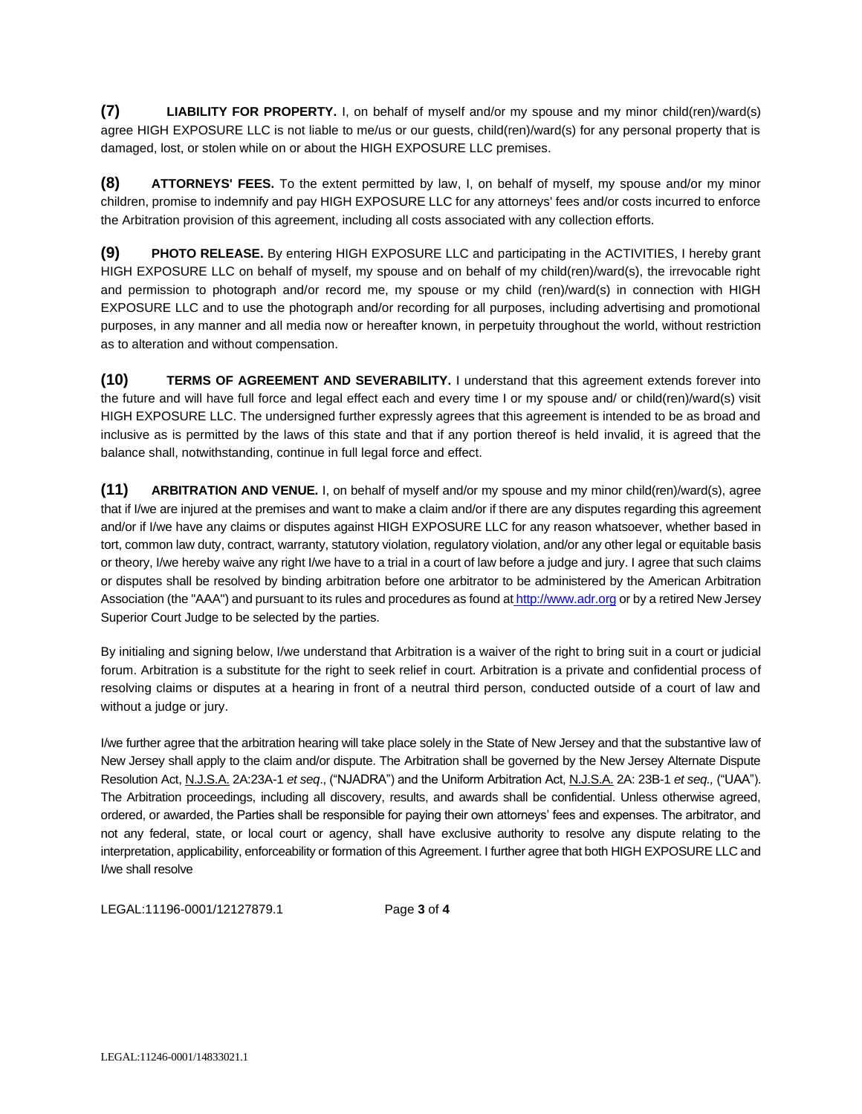**(7) LIABILITY FOR PROPERTY.** I, on behalf of myself and/or my spouse and my minor child(ren)/ward(s) agree HIGH EXPOSURE LLC is not liable to me/us or our guests, child(ren)/ward(s) for any personal property that is damaged, lost, or stolen while on or about the HIGH EXPOSURE LLC premises.

**(8) ATTORNEYS' FEES.** To the extent permitted by law, I, on behalf of myself, my spouse and/or my minor children, promise to indemnify and pay HIGH EXPOSURE LLC for any attorneys' fees and/or costs incurred to enforce the Arbitration provision of this agreement, including all costs associated with any collection efforts.

**(9) PHOTO RELEASE.** By entering HIGH EXPOSURE LLC and participating in the ACTIVITIES, I hereby grant HIGH EXPOSURE LLC on behalf of myself, my spouse and on behalf of my child(ren)/ward(s), the irrevocable right and permission to photograph and/or record me, my spouse or my child (ren)/ward(s) in connection with HIGH EXPOSURE LLC and to use the photograph and/or recording for all purposes, including advertising and promotional purposes, in any manner and all media now or hereafter known, in perpetuity throughout the world, without restriction as to alteration and without compensation.

**(10) TERMS OF AGREEMENT AND SEVERABILITY.** I understand that this agreement extends forever into the future and will have full force and legal effect each and every time I or my spouse and/ or child(ren)/ward(s) visit HIGH EXPOSURE LLC. The undersigned further expressly agrees that this agreement is intended to be as broad and inclusive as is permitted by the laws of this state and that if any portion thereof is held invalid, it is agreed that the balance shall, notwithstanding, continue in full legal force and effect.

**(11) ARBITRATION AND VENUE.** I, on behalf of myself and/or my spouse and my minor child(ren)/ward(s), agree that if I/we are injured at the premises and want to make a claim and/or if there are any disputes regarding this agreement and/or if I/we have any claims or disputes against HIGH EXPOSURE LLC for any reason whatsoever, whether based in tort, common law duty, contract, warranty, statutory violation, regulatory violation, and/or any other legal or equitable basis or theory, I/we hereby waive any right I/we have to a trial in a court of law before a judge and jury. I agree that such claims or disputes shall be resolved by binding arbitration before one arbitrator to be administered by the American Arbitration Association (the "AAA") and pursuant to its rules and procedures as found at [http://www.adr.org](about:blank) or by a retired New Jersey Superior Court Judge to be selected by the parties.

By initialing and signing below, I/we understand that Arbitration is a waiver of the right to bring suit in a court or judicial forum. Arbitration is a substitute for the right to seek relief in court. Arbitration is a private and confidential process of resolving claims or disputes at a hearing in front of a neutral third person, conducted outside of a court of law and without a judge or jury.

I/we further agree that the arbitration hearing will take place solely in the State of New Jersey and that the substantive law of New Jersey shall apply to the claim and/or dispute. The Arbitration shall be governed by the New Jersey Alternate Dispute Resolution Act, N.J.S.A. 2A:23A-1 *et seq*., ("NJADRA") and the Uniform Arbitration Act, N.J.S.A. 2A: 23B-1 *et seq.,* ("UAA"). The Arbitration proceedings, including all discovery, results, and awards shall be confidential. Unless otherwise agreed, ordered, or awarded, the Parties shall be responsible for paying their own attorneys' fees and expenses. The arbitrator, and not any federal, state, or local court or agency, shall have exclusive authority to resolve any dispute relating to the interpretation, applicability, enforceability or formation of this Agreement. I further agree that both HIGH EXPOSURE LLC and I/we shall resolve

LEGAL:11196-0001/12127879.1 Page **3** of **4**